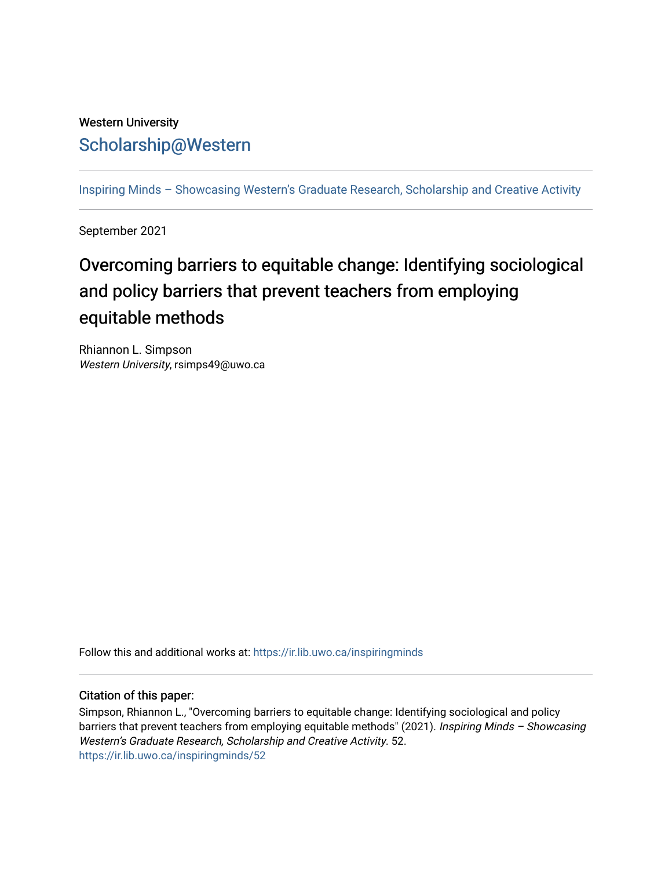## Western University [Scholarship@Western](https://ir.lib.uwo.ca/)

[Inspiring Minds – Showcasing Western's Graduate Research, Scholarship and Creative Activity](https://ir.lib.uwo.ca/inspiringminds) 

September 2021

## Overcoming barriers to equitable change: Identifying sociological and policy barriers that prevent teachers from employing equitable methods

Rhiannon L. Simpson Western University, rsimps49@uwo.ca

Follow this and additional works at: [https://ir.lib.uwo.ca/inspiringminds](https://ir.lib.uwo.ca/inspiringminds?utm_source=ir.lib.uwo.ca%2Finspiringminds%2F52&utm_medium=PDF&utm_campaign=PDFCoverPages) 

## Citation of this paper:

Simpson, Rhiannon L., "Overcoming barriers to equitable change: Identifying sociological and policy barriers that prevent teachers from employing equitable methods" (2021). Inspiring Minds - Showcasing Western's Graduate Research, Scholarship and Creative Activity. 52. [https://ir.lib.uwo.ca/inspiringminds/52](https://ir.lib.uwo.ca/inspiringminds/52?utm_source=ir.lib.uwo.ca%2Finspiringminds%2F52&utm_medium=PDF&utm_campaign=PDFCoverPages)